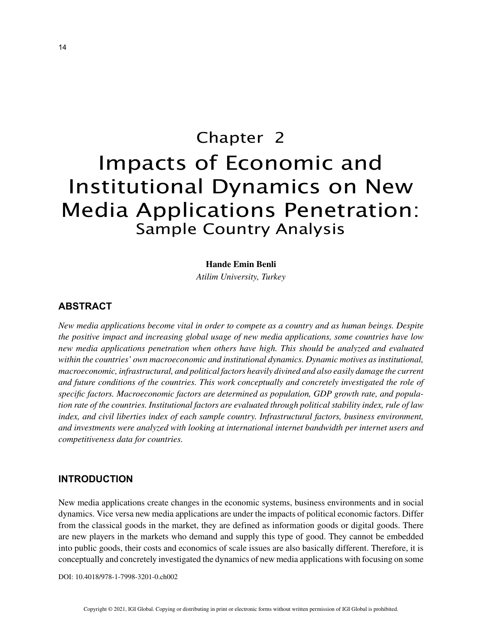# Chapter 2 Impacts of Economic and Institutional Dynamics on New Media Applications Penetration: Sample Country Analysis

### **Hande Emin Benli**

*Atilim University, Turkey*

# **ABSTRACT**

*New media applications become vital in order to compete as a country and as human beings. Despite the positive impact and increasing global usage of new media applications, some countries have low new media applications penetration when others have high. This should be analyzed and evaluated within the countries' own macroeconomic and institutional dynamics. Dynamic motives as institutional, macroeconomic, infrastructural, and political factors heavily divined and also easily damage the current and future conditions of the countries. This work conceptually and concretely investigated the role of specific factors. Macroeconomic factors are determined as population, GDP growth rate, and population rate of the countries. Institutional factors are evaluated through political stability index, rule of law index, and civil liberties index of each sample country. Infrastructural factors, business environment, and investments were analyzed with looking at international internet bandwidth per internet users and competitiveness data for countries.*

## **INTRODUCTION**

New media applications create changes in the economic systems, business environments and in social dynamics. Vice versa new media applications are under the impacts of political economic factors. Differ from the classical goods in the market, they are defined as information goods or digital goods. There are new players in the markets who demand and supply this type of good. They cannot be embedded into public goods, their costs and economics of scale issues are also basically different. Therefore, it is conceptually and concretely investigated the dynamics of new media applications with focusing on some

DOI: 10.4018/978-1-7998-3201-0.ch002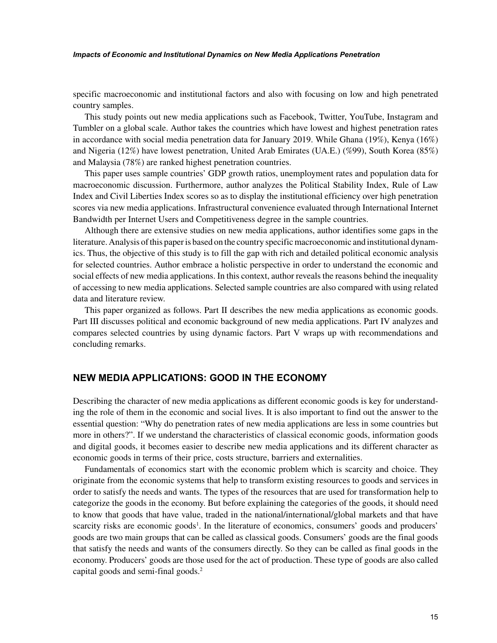#### *Impacts of Economic and Institutional Dynamics on New Media Applications Penetration*

specific macroeconomic and institutional factors and also with focusing on low and high penetrated country samples.

This study points out new media applications such as Facebook, Twitter, YouTube, Instagram and Tumbler on a global scale. Author takes the countries which have lowest and highest penetration rates in accordance with social media penetration data for January 2019. While Ghana (19%), Kenya (16%) and Nigeria (12%) have lowest penetration, United Arab Emirates (UA.E.) (%99), South Korea (85%) and Malaysia (78%) are ranked highest penetration countries.

This paper uses sample countries' GDP growth ratios, unemployment rates and population data for macroeconomic discussion. Furthermore, author analyzes the Political Stability Index, Rule of Law Index and Civil Liberties Index scores so as to display the institutional efficiency over high penetration scores via new media applications. Infrastructural convenience evaluated through International Internet Bandwidth per Internet Users and Competitiveness degree in the sample countries.

Although there are extensive studies on new media applications, author identifies some gaps in the literature. Analysis of this paper is based on the country specific macroeconomic and institutional dynamics. Thus, the objective of this study is to fill the gap with rich and detailed political economic analysis for selected countries. Author embrace a holistic perspective in order to understand the economic and social effects of new media applications. In this context, author reveals the reasons behind the inequality of accessing to new media applications. Selected sample countries are also compared with using related data and literature review.

This paper organized as follows. Part II describes the new media applications as economic goods. Part III discusses political and economic background of new media applications. Part IV analyzes and compares selected countries by using dynamic factors. Part V wraps up with recommendations and concluding remarks.

## **NEW MEDIA APPLICATIONS: GOOD IN THE ECONOMY**

Describing the character of new media applications as different economic goods is key for understanding the role of them in the economic and social lives. It is also important to find out the answer to the essential question: "Why do penetration rates of new media applications are less in some countries but more in others?". If we understand the characteristics of classical economic goods, information goods and digital goods, it becomes easier to describe new media applications and its different character as economic goods in terms of their price, costs structure, barriers and externalities.

Fundamentals of economics start with the economic problem which is scarcity and choice. They originate from the economic systems that help to transform existing resources to goods and services in order to satisfy the needs and wants. The types of the resources that are used for transformation help to categorize the goods in the economy. But before explaining the categories of the goods, it should need to know that goods that have value, traded in the national/international/global markets and that have scarcity risks are economic goods<sup>1</sup>. In the literature of economics, consumers' goods and producers' goods are two main groups that can be called as classical goods. Consumers' goods are the final goods that satisfy the needs and wants of the consumers directly. So they can be called as final goods in the economy. Producers' goods are those used for the act of production. These type of goods are also called capital goods and semi-final goods.<sup>2</sup>